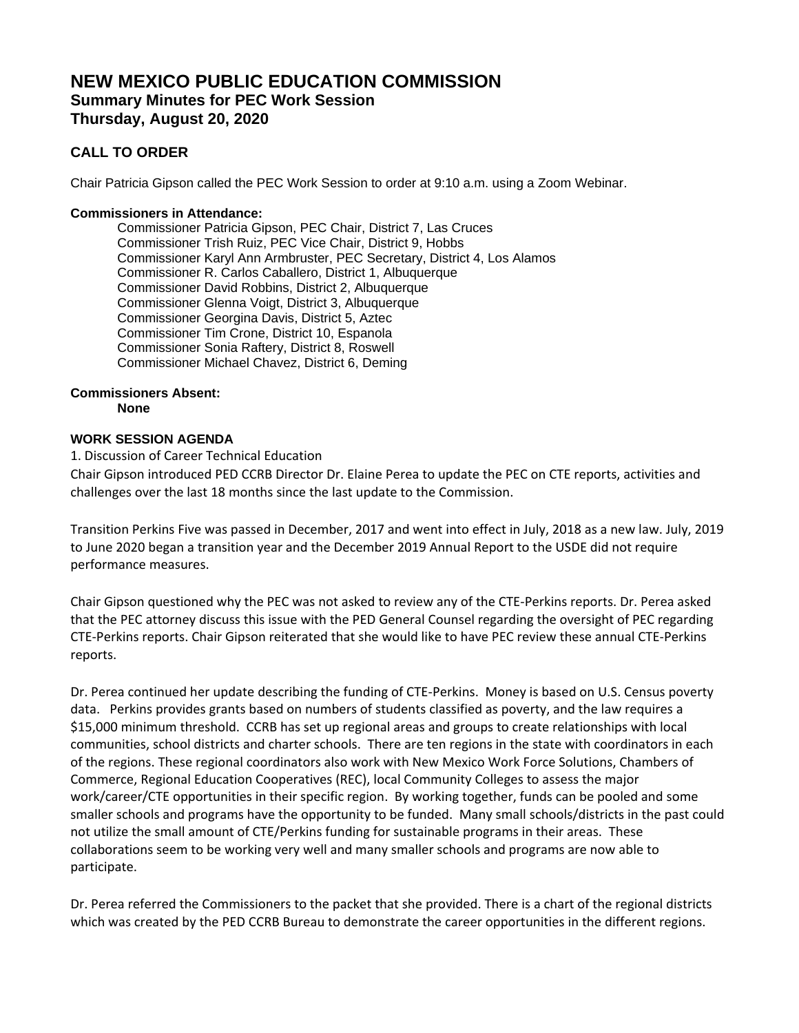# **NEW MEXICO PUBLIC EDUCATION COMMISSION Summary Minutes for PEC Work Session Thursday, August 20, 2020**

## **CALL TO ORDER**

Chair Patricia Gipson called the PEC Work Session to order at 9:10 a.m. using a Zoom Webinar.

## **Commissioners in Attendance:**

Commissioner Patricia Gipson, PEC Chair, District 7, Las Cruces Commissioner Trish Ruiz, PEC Vice Chair, District 9, Hobbs Commissioner Karyl Ann Armbruster, PEC Secretary, District 4, Los Alamos Commissioner R. Carlos Caballero, District 1, Albuquerque Commissioner David Robbins, District 2, Albuquerque Commissioner Glenna Voigt, District 3, Albuquerque Commissioner Georgina Davis, District 5, Aztec Commissioner Tim Crone, District 10, Espanola Commissioner Sonia Raftery, District 8, Roswell Commissioner Michael Chavez, District 6, Deming

#### **Commissioners Absent: None**

## **WORK SESSION AGENDA**

#### 1. Discussion of Career Technical Education

Chair Gipson introduced PED CCRB Director Dr. Elaine Perea to update the PEC on CTE reports, activities and challenges over the last 18 months since the last update to the Commission.

Transition Perkins Five was passed in December, 2017 and went into effect in July, 2018 as a new law. July, 2019 to June 2020 began a transition year and the December 2019 Annual Report to the USDE did not require performance measures.

Chair Gipson questioned why the PEC was not asked to review any of the CTE-Perkins reports. Dr. Perea asked that the PEC attorney discuss this issue with the PED General Counsel regarding the oversight of PEC regarding CTE-Perkins reports. Chair Gipson reiterated that she would like to have PEC review these annual CTE-Perkins reports.

Dr. Perea continued her update describing the funding of CTE-Perkins. Money is based on U.S. Census poverty data. Perkins provides grants based on numbers of students classified as poverty, and the law requires a \$15,000 minimum threshold. CCRB has set up regional areas and groups to create relationships with local communities, school districts and charter schools. There are ten regions in the state with coordinators in each of the regions. These regional coordinators also work with New Mexico Work Force Solutions, Chambers of Commerce, Regional Education Cooperatives (REC), local Community Colleges to assess the major work/career/CTE opportunities in their specific region. By working together, funds can be pooled and some smaller schools and programs have the opportunity to be funded. Many small schools/districts in the past could not utilize the small amount of CTE/Perkins funding for sustainable programs in their areas. These collaborations seem to be working very well and many smaller schools and programs are now able to participate.

Dr. Perea referred the Commissioners to the packet that she provided. There is a chart of the regional districts which was created by the PED CCRB Bureau to demonstrate the career opportunities in the different regions.